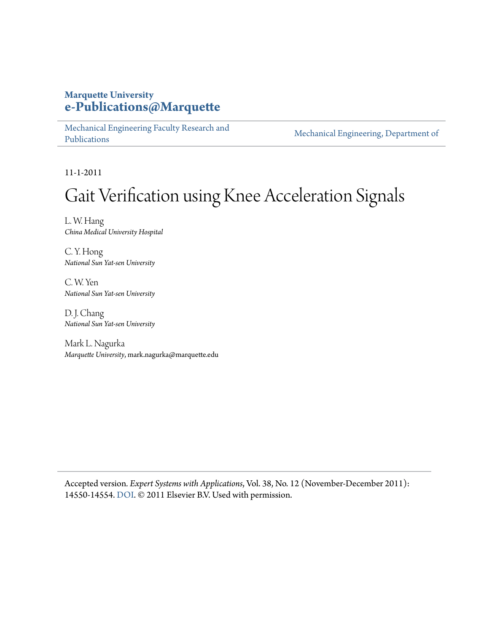# **Marquette University [e-Publications@Marquette](https://epublications.marquette.edu)**

[Mechanical Engineering Faculty Research and](https://epublications.marquette.edu/mechengin_fac) [Publications](https://epublications.marquette.edu/mechengin_fac)

[Mechanical Engineering, Department of](https://epublications.marquette.edu/mechengin)

11-1-2011

# Gait Verification using Knee Acceleration Signals

L. W. Hang *China Medical University Hospital*

C. Y. Hong *National Sun Yat-sen University*

C. W. Yen *National Sun Yat-sen University*

D. J. Chang *National Sun Yat-sen University*

Mark L. Nagurka *Marquette University*, mark.nagurka@marquette.edu

Accepted version*. Expert Systems with Applications*, Vol. 38, No. 12 (November-December 2011): 14550-14554. [DOI.](https://doi.org/10.1016/j.eswa.2011.05.028) © 2011 Elsevier B.V. Used with permission.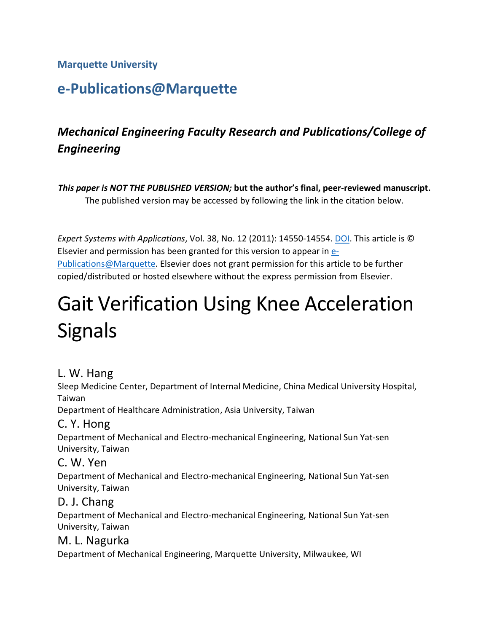### **Marquette University**

# **e-Publications@Marquette**

# *Mechanical Engineering Faculty Research and Publications/College of Engineering*

*This paper is NOT THE PUBLISHED VERSION;* **but the author's final, peer-reviewed manuscript.**  The published version may be accessed by following the link in the citation below.

Elsevier and permission has been granted for this version to appear in [e-](http://epublications.marquette.edu/)[Publications@Marquette.](http://epublications.marquette.edu/) Elsevier does not grant permission for this article to be further copied/distributed or hosted elsewhere without the express permission from Elsevier. *Expert Systems with Applications*, Vol. 38, No. 12 (2011): 14550-14554. [DOI.](https://www.doi.org/10.1016/j.eswa.2011.05.028) This article is ©

# Gait Verification Using Knee Acceleration **Signals**

# L. W. Hang

Sleep Medicine Center, Department of Internal Medicine, China Medical University Hospital, Taiwan

Department of Healthcare Administration, Asia University, Taiwan

# C. Y. Hong

Department of Mechanical and Electro-mechanical Engineering, National Sun Yat-sen University, Taiwan

# C. W. Yen

Department of Mechanical and Electro-mechanical Engineering, National Sun Yat-sen University, Taiwan

# D. J. Chang

Department of Mechanical and Electro-mechanical Engineering, National Sun Yat-sen University, Taiwan

# M. L. Nagurka

Department of Mechanical Engineering, Marquette University, Milwaukee, WI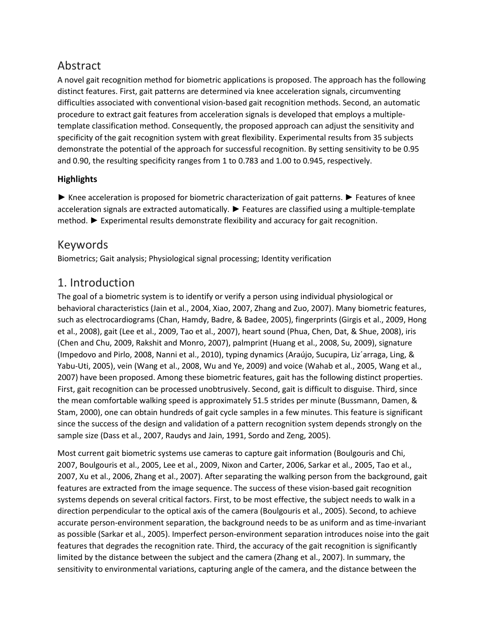# Abstract

 procedure to extract gait features from acceleration signals is developed that employs a multiple- template classification method. Consequently, the proposed approach can adjust the sensitivity and demonstrate the potential of the approach for successful recognition. By setting sensitivity to be 0.95 and 0.90, the resulting specificity ranges from 1 to 0.783 and 1.00 to 0.945, respectively. A novel gait recognition method for biometric applications is proposed. The approach has the following distinct features. First, gait patterns are determined via knee acceleration signals, circumventing difficulties associated with conventional vision-based gait recognition methods. Second, an automatic specificity of the gait recognition system with great flexibility. Experimental results from 35 subjects

#### **Highlights**

► Knee acceleration is proposed for biometric characterization of gait patterns. ► Features of knee acceleration signals are extracted automatically. ► Features are classified using a multiple-template method. ► Experimental results demonstrate flexibility and accuracy for gait recognition.

# Keywords

Biometrics; Gait analysis; Physiological signal processing; Identity verification

# 1. Introduction

 behavioral characteristics (Jain et al., 2004, Xiao, 2007, Zhang and Zuo, 2007). Many biometric features, such as electrocardiograms (Chan, Hamdy, Badre, & Badee, 2005), fingerprints (Girgis et al., 2009, Hong et al., 2008), gait (Lee et al., 2009, Tao et al., 2007), heart sound (Phua, Chen, Dat, & Shue, 2008), iris (Impedovo and Pirlo, 2008, Nanni et al., 2010), typing dynamics (Araújo, Sucupira, Liz´arraga, Ling, & Yabu-Uti, 2005), vein (Wang et al., 2008, Wu and Ye, 2009) and voice (Wahab et al., 2005, Wang et al., Stam, 2000), one can obtain hundreds of gait cycle samples in a few minutes. This feature is significant since the success of the design and validation of a pattern recognition system depends strongly on the sample size (Dass et al., 2007, Raudys and Jain, 1991, Sordo and Zeng, 2005). The goal of a biometric system is to identify or verify a person using individual physiological or (Chen and Chu, 2009, Rakshit and Monro, 2007), palmprint (Huang et al., 2008, Su, 2009), signature 2007) have been proposed. Among these biometric features, gait has the following distinct properties. First, gait recognition can be processed unobtrusively. Second, gait is difficult to disguise. Third, since the mean comfortable walking speed is approximately 51.5 strides per minute (Bussmann, Damen, &

 features are extracted from the image sequence. The success of these vision-based gait recognition systems depends on several critical factors. First, to be most effective, the subject needs to walk in a Most current gait biometric systems use cameras to capture gait information (Boulgouris and Chi, 2007, Boulgouris et al., 2005, Lee et al., 2009, Nixon and Carter, 2006, Sarkar et al., 2005, Tao et al., 2007, Xu et al., 2006, Zhang et al., 2007). After separating the walking person from the background, gait direction perpendicular to the optical axis of the camera (Boulgouris et al., 2005). Second, to achieve accurate person-environment separation, the background needs to be as uniform and as time-invariant as possible (Sarkar et al., 2005). Imperfect person-environment separation introduces noise into the gait features that degrades the recognition rate. Third, the accuracy of the gait recognition is significantly limited by the distance between the subject and the camera (Zhang et al., 2007). In summary, the sensitivity to environmental variations, capturing angle of the camera, and the distance between the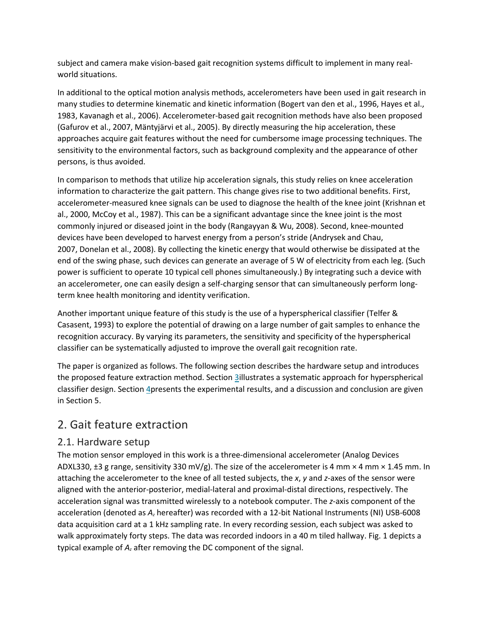subject and camera make vision-based gait recognition systems difficult to implement in many realworld situations.

 In additional to the optical motion analysis methods, accelerometers have been used in gait research in many studies to determine kinematic and kinetic information (Bogert van den et al., 1996, Hayes et al., (Gafurov et al., 2007, Mäntyjärvi et al., 2005). By directly measuring the hip acceleration, these sensitivity to the environmental factors, such as background complexity and the appearance of other 1983, Kavanagh et al., 2006). Accelerometer-based gait recognition methods have also been proposed approaches acquire gait features without the need for cumbersome image processing techniques. The persons, is thus avoided.

 In comparison to methods that utilize hip acceleration signals, this study relies on knee acceleration accelerometer-measured knee signals can be used to diagnose the health of the knee joint (Krishnan et devices have been developed to harvest energy from a person's stride (Andrysek and Chau, power is sufficient to operate 10 typical cell phones simultaneously.) By integrating such a device with an accelerometer, one can easily design a self-charging sensor that can simultaneously perform longinformation to characterize the gait pattern. This change gives rise to two additional benefits. First, al., 2000, McCoy et al., 1987). This can be a significant advantage since the knee joint is the most commonly injured or diseased joint in the body (Rangayyan & Wu, 2008). Second, knee-mounted 2007, Donelan et al., 2008). By collecting the kinetic energy that would otherwise be dissipated at the end of the swing phase, such devices can generate an average of 5 W of electricity from each leg. (Such term knee health monitoring and identity verification.

 Another important unique feature of this study is the use of a hyperspherical classifier (Telfer & recognition accuracy. By varying its parameters, the sensitivity and specificity of the hyperspherical classifier can be systematically adjusted to improve the overall gait recognition rate. Casasent, 1993) to explore the potential of drawing on a large number of gait samples to enhance the

 in Section 5. The paper is organized as follows. The following section describes the hardware setup and introduces the proposed feature extraction method. Section [3i](https://www.sciencedirect.com/science/article/pii/S0957417411008116?via%3Dihub#s0025)llustrates a systematic approach for hyperspherical classifier design. Section 4 presents the experimental results, and a discussion and conclusion are given

# 2. Gait feature extraction

#### 2.1. Hardware setup

 The motion sensor employed in this work is a three-dimensional accelerometer (Analog Devices ADXL330, ±3 g range, sensitivity 330 mV/g). The size of the accelerometer is 4 mm × 4 mm × 1.45 mm. In attaching the accelerometer to the knee of all tested subjects, the *x*, *y* and *z*-axes of the sensor were walk approximately forty steps. The data was recorded indoors in a 40 m tiled hallway. Fig. 1 depicts a typical example of *Az* after removing the DC component of the signal. aligned with the anterior-posterior, medial-lateral and proximal-distal directions, respectively. The acceleration signal was transmitted wirelessly to a notebook computer. The *z*-axis component of the acceleration (denoted as *Az* hereafter) was recorded with a 12-bit National Instruments (NI) USB-6008 data acquisition card at a 1 kHz sampling rate. In every recording session, each subject was asked to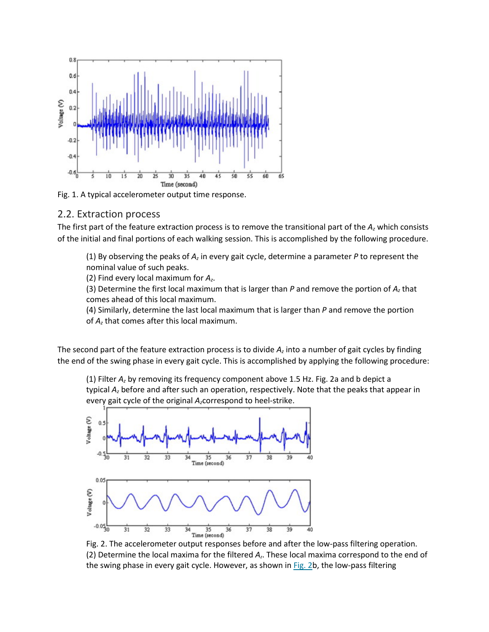

Fig. 1. A typical accelerometer output time response.

#### 2.2. Extraction process

 The first part of the feature extraction process is to remove the transitional part of the *Az* which consists of the initial and final portions of each walking session. This is accomplished by the following procedure.

 (1) By observing the peaks of *Az* in every gait cycle, determine a parameter *P* to represent the nominal value of such peaks.

(2) Find every local maximum for *Az*.

 (3) Determine the first local maximum that is larger than *P* and remove the portion of *Az* that comes ahead of this local maximum.

 (4) Similarly, determine the last local maximum that is larger than *P* and remove the portion of *Az* that comes after this local maximum.

 The second part of the feature extraction process is to divide *Az* into a number of gait cycles by finding the end of the swing phase in every gait cycle. This is accomplished by applying the following procedure:

 (1) Filter *Az* by removing its frequency component above 1.5 Hz. Fig. 2a and b depict a every gait cycle of the original *Az*correspond to heel-strike. typical *Az* before and after such an operation, respectively. Note that the peaks that appear in



 (2) Determine the local maxima for the filtered *Az*. These local maxima correspond to the end of Fig. 2. The accelerometer output responses before and after the low-pass filtering operation. the swing phase in every gait cycle. However, as shown in  $Fig. 2b$ , the low-pass filtering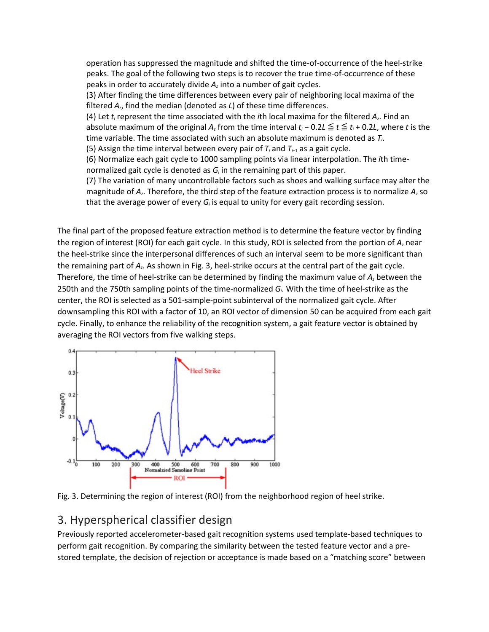operation has suppressed the magnitude and shifted the time-of-occurrence of the heel-strike peaks. The goal of the following two steps is to recover the true time-of-occurrence of these peaks in order to accurately divide *Az* into a number of gait cycles.

 filtered *Az*, find the median (denoted as *L*) of these time differences. (3) After finding the time differences between every pair of neighboring local maxima of the

 (4) Let *ti* represent the time associated with the *i*th local maxima for the filtered *Az*. Find an absolute maximum of the original *Az* from the time interval *ti* − 0.2*L* ≦ *t* ≦ *ti* + 0.2*L*, where *t* is the time variable. The time associated with such an absolute maximum is denoted as *Ti*.

(5) Assign the time interval between every pair of  $T_i$  and  $T_{i+1}$  as a gait cycle.

(6) Normalize each gait cycle to 1000 sampling points via linear interpolation. The *i*th timenormalized gait cycle is denoted as *Gi* in the remaining part of this paper.

 (7) The variation of many uncontrollable factors such as shoes and walking surface may alter the magnitude of *Az*. Therefore, the third step of the feature extraction process is to normalize *Az* so that the average power of every *Gi* is equal to unity for every gait recording session.

 the region of interest (ROI) for each gait cycle. In this study, ROI is selected from the portion of *Az* near Therefore, the time of heel-strike can be determined by finding the maximum value of *Az* between the center, the ROI is selected as a 501-sample-point subinterval of the normalized gait cycle. After downsampling this ROI with a factor of 10, an ROI vector of dimension 50 can be acquired from each gait cycle. Finally, to enhance the reliability of the recognition system, a gait feature vector is obtained by The final part of the proposed feature extraction method is to determine the feature vector by finding the heel-strike since the interpersonal differences of such an interval seem to be more significant than the remaining part of *Az*. As shown in Fig. 3, heel-strike occurs at the central part of the gait cycle. 250th and the 750th sampling points of the time-normalized *Gi*. With the time of heel-strike as the





# 3. Hyperspherical classifier design

 stored template, the decision of rejection or acceptance is made based on a "matching score" between Previously reported accelerometer-based gait recognition systems used template-based techniques to perform gait recognition. By comparing the similarity between the tested feature vector and a pre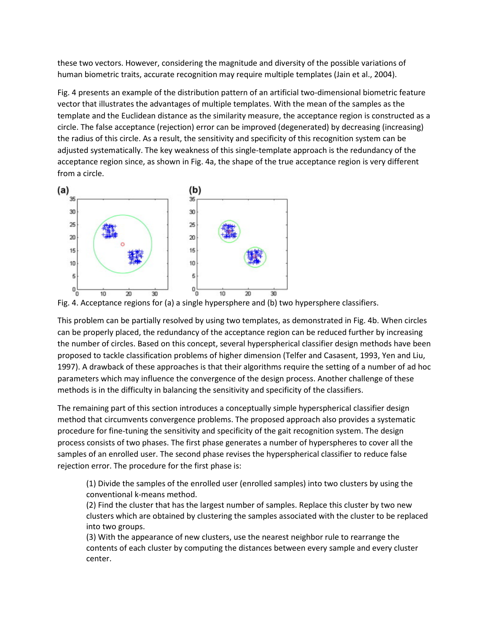these two vectors. However, considering the magnitude and diversity of the possible variations of human biometric traits, accurate recognition may require multiple templates (Jain et al., 2004).

 Fig. 4 presents an example of the distribution pattern of an artificial two-dimensional biometric feature vector that illustrates the advantages of multiple templates. With the mean of the samples as the the radius of this circle. As a result, the sensitivity and specificity of this recognition system can be adjusted systematically. The key weakness of this single-template approach is the redundancy of the template and the Euclidean distance as the similarity measure, the acceptance region is constructed as a circle. The false acceptance (rejection) error can be improved (degenerated) by decreasing (increasing) acceptance region since, as shown in Fig. 4a, the shape of the true acceptance region is very different from a circle.



This problem can be partially resolved by using two templates, as demonstrated in Fig. 4b. When circles can be properly placed, the redundancy of the acceptance region can be reduced further by increasing the number of circles. Based on this concept, several hyperspherical classifier design methods have been proposed to tackle classification problems of higher dimension (Telfer and Casasent, 1993, Yen and Liu, 1997). A drawback of these approaches is that their algorithms require the setting of a number of ad hoc parameters which may influence the convergence of the design process. Another challenge of these methods is in the difficulty in balancing the sensitivity and specificity of the classifiers.

 method that circumvents convergence problems. The proposed approach also provides a systematic rejection error. The procedure for the first phase is: The remaining part of this section introduces a conceptually simple hyperspherical classifier design procedure for fine-tuning the sensitivity and specificity of the gait recognition system. The design process consists of two phases. The first phase generates a number of hyperspheres to cover all the samples of an enrolled user. The second phase revises the hyperspherical classifier to reduce false

(1) Divide the samples of the enrolled user (enrolled samples) into two clusters by using the conventional k-means method.

 clusters which are obtained by clustering the samples associated with the cluster to be replaced (2) Find the cluster that has the largest number of samples. Replace this cluster by two new into two groups.

(3) With the appearance of new clusters, use the nearest neighbor rule to rearrange the contents of each cluster by computing the distances between every sample and every cluster center.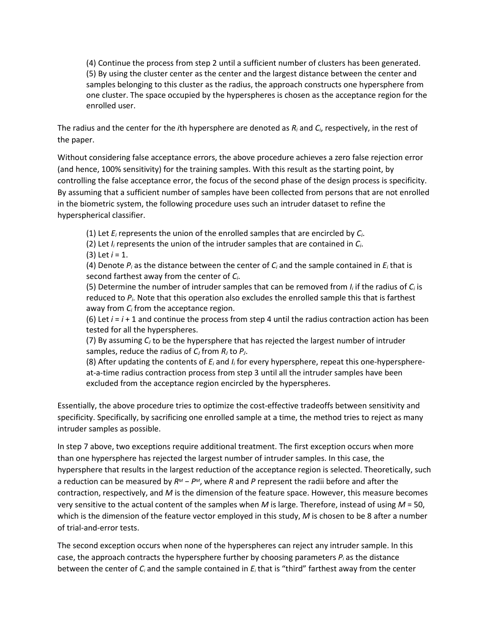(4) Continue the process from step 2 until a sufficient number of clusters has been generated. one cluster. The space occupied by the hyperspheres is chosen as the acceptance region for the (5) By using the cluster center as the center and the largest distance between the center and samples belonging to this cluster as the radius, the approach constructs one hypersphere from enrolled user.

 The radius and the center for the *i*th hypersphere are denoted as *Ri* and *Ci*, respectively, in the rest of the paper.

 controlling the false acceptance error, the focus of the second phase of the design process is specificity. Without considering false acceptance errors, the above procedure achieves a zero false rejection error (and hence, 100% sensitivity) for the training samples. With this result as the starting point, by By assuming that a sufficient number of samples have been collected from persons that are not enrolled in the biometric system, the following procedure uses such an intruder dataset to refine the hyperspherical classifier.

(1) Let *Ei* represents the union of the enrolled samples that are encircled by *Ci*.

 (2) Let *Ii* represents the union of the intruder samples that are contained in *Ci*. (3) Let *i* = 1.

 (4) Denote *Pi* as the distance between the center of *Ci* and the sample contained in *Ei* that is second farthest away from the center of *Ci*.

 (5) Determine the number of intruder samples that can be removed from *Ii* if the radius of *Ci* is reduced to *Pi*. Note that this operation also excludes the enrolled sample this that is farthest away from *Ci* from the acceptance region.

(6) Let  $i = i + 1$  and continue the process from step 4 until the radius contraction action has been tested for all the hyperspheres.

 (7) By assuming *CJ* to be the hypersphere that has rejected the largest number of intruder samples, reduce the radius of *CJ* from *RJ* to *PJ*.

 (8) After updating the contents of *Ei* and *Ii* for every hypersphere, repeat this one-hypersphereat-a-time radius contraction process from step 3 until all the intruder samples have been excluded from the acceptance region encircled by the hyperspheres.

 specificity. Specifically, by sacrificing one enrolled sample at a time, the method tries to reject as many Essentially, the above procedure tries to optimize the cost-effective tradeoffs between sensitivity and intruder samples as possible.

 In step 7 above, two exceptions require additional treatment. The first exception occurs when more hypersphere that results in the largest reduction of the acceptance region is selected. Theoretically, such a reduction can be measured by *RM* − *PM*, where *R* and *P* represent the radii before and after the contraction, respectively, and *M* is the dimension of the feature space. However, this measure becomes very sensitive to the actual content of the samples when *M* is large. Therefore, instead of using *M* = 50, which is the dimension of the feature vector employed in this study, *M* is chosen to be 8 after a number than one hypersphere has rejected the largest number of intruder samples. In this case, the of trial-and-error tests.

 The second exception occurs when none of the hyperspheres can reject any intruder sample. In this between the center of *Ci* and the sample contained in *Ei* that is "third" farthest away from the center case, the approach contracts the hypersphere further by choosing parameters *Pi* as the distance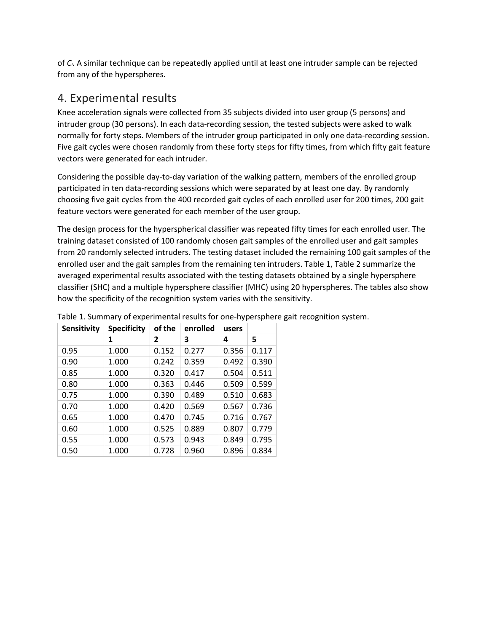from any of the hyperspheres. of *Ci*. A similar technique can be repeatedly applied until at least one intruder sample can be rejected

# 4. Experimental results

 Knee acceleration signals were collected from 35 subjects divided into user group (5 persons) and normally for forty steps. Members of the intruder group participated in only one data-recording session. intruder group (30 persons). In each data-recording session, the tested subjects were asked to walk Five gait cycles were chosen randomly from these forty steps for fifty times, from which fifty gait feature vectors were generated for each intruder.

 Considering the possible day-to-day variation of the walking pattern, members of the enrolled group participated in ten data-recording sessions which were separated by at least one day. By randomly choosing five gait cycles from the 400 recorded gait cycles of each enrolled user for 200 times, 200 gait feature vectors were generated for each member of the user group.

 from 20 randomly selected intruders. The testing dataset included the remaining 100 gait samples of the enrolled user and the gait samples from the remaining ten intruders. Table 1, Table 2 summarize the classifier (SHC) and a multiple hypersphere classifier (MHC) using 20 hyperspheres. The tables also show The design process for the hyperspherical classifier was repeated fifty times for each enrolled user. The training dataset consisted of 100 randomly chosen gait samples of the enrolled user and gait samples averaged experimental results associated with the testing datasets obtained by a single hypersphere how the specificity of the recognition system varies with the sensitivity.

| <b>Sensitivity</b> | <b>Specificity</b> | of the | enrolled | users |       |
|--------------------|--------------------|--------|----------|-------|-------|
|                    | 1                  | 2      | 3        | 4     | 5     |
| 0.95               | 1.000              | 0.152  | 0.277    | 0.356 | 0.117 |
| 0.90               | 1.000              | 0.242  | 0.359    | 0.492 | 0.390 |
| 0.85               | 1.000              | 0.320  | 0.417    | 0.504 | 0.511 |
| 0.80               | 1.000              | 0.363  | 0.446    | 0.509 | 0.599 |
| 0.75               | 1.000              | 0.390  | 0.489    | 0.510 | 0.683 |
| 0.70               | 1.000              | 0.420  | 0.569    | 0.567 | 0.736 |
| 0.65               | 1.000              | 0.470  | 0.745    | 0.716 | 0.767 |
| 0.60               | 1.000              | 0.525  | 0.889    | 0.807 | 0.779 |
| 0.55               | 1.000              | 0.573  | 0.943    | 0.849 | 0.795 |
| 0.50               | 1.000              | 0.728  | 0.960    | 0.896 | 0.834 |

Table 1. Summary of experimental results for one-hypersphere gait recognition system.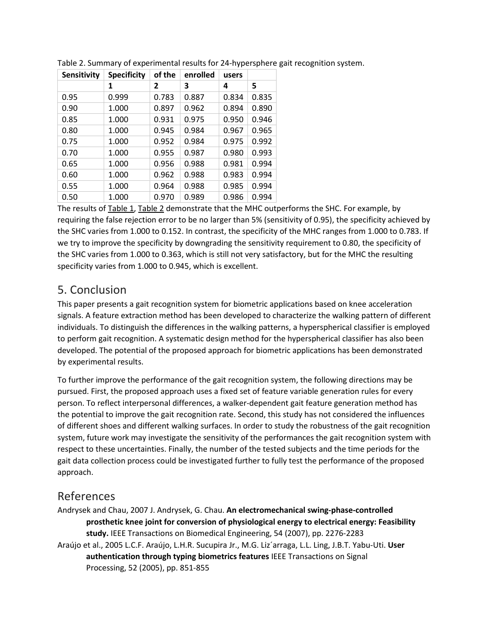| Sensitivity | <b>Specificity</b> | of the         | enrolled | users |       |
|-------------|--------------------|----------------|----------|-------|-------|
|             | 1                  | $\overline{2}$ | 3        | 4     | 5     |
| 0.95        | 0.999              | 0.783          | 0.887    | 0.834 | 0.835 |
| 0.90        | 1.000              | 0.897          | 0.962    | 0.894 | 0.890 |
| 0.85        | 1.000              | 0.931          | 0.975    | 0.950 | 0.946 |
| 0.80        | 1.000              | 0.945          | 0.984    | 0.967 | 0.965 |
| 0.75        | 1.000              | 0.952          | 0.984    | 0.975 | 0.992 |
| 0.70        | 1.000              | 0.955          | 0.987    | 0.980 | 0.993 |
| 0.65        | 1.000              | 0.956          | 0.988    | 0.981 | 0.994 |
| 0.60        | 1.000              | 0.962          | 0.988    | 0.983 | 0.994 |
| 0.55        | 1.000              | 0.964          | 0.988    | 0.985 | 0.994 |
| 0.50        | 1.000              | 0.970          | 0.989    | 0.986 | 0.994 |

Table 2. Summary of experimental results for 24-hypersphere gait recognition system.

The results of Table 1, Table 2 demonstrate that the MHC outperforms the SHC. For example, by requiring the false rejection error to be no larger than 5% (sensitivity of 0.95), the specificity achieved by the SHC varies from 1.000 to 0.152. In contrast, the specificity of the MHC ranges from 1.000 to 0.783. If we try to improve the specificity by downgrading the sensitivity requirement to 0.80, the specificity of the SHC varies from 1.000 to 0.363, which is still not very satisfactory, but for the MHC the resulting specificity varies from 1.000 to 0.945, which is excellent.

# 5. Conclusion

 This paper presents a gait recognition system for biometric applications based on knee acceleration signals. A feature extraction method has been developed to characterize the walking pattern of different individuals. To distinguish the differences in the walking patterns, a hyperspherical classifier is employed to perform gait recognition. A systematic design method for the hyperspherical classifier has also been developed. The potential of the proposed approach for biometric applications has been demonstrated by experimental results.

 To further improve the performance of the gait recognition system, the following directions may be system, future work may investigate the sensitivity of the performances the gait recognition system with respect to these uncertainties. Finally, the number of the tested subjects and the time periods for the pursued. First, the proposed approach uses a fixed set of feature variable generation rules for every person. To reflect interpersonal differences, a walker-dependent gait feature generation method has the potential to improve the gait recognition rate. Second, this study has not considered the influences of different shoes and different walking surfaces. In order to study the robustness of the gait recognition gait data collection process could be investigated further to fully test the performance of the proposed approach.

# References

 Andrysek and Chau, 2007 J. Andrysek, G. Chau. **An electromechanical swing-phase-controlled prosthetic knee joint for conversion of physiological energy to electrical energy: Feasibility study.** IEEE Transactions on Biomedical Engineering, 54 (2007), pp. 2276-2283 Araújo et al., 2005 L.C.F. Araújo, L.H.R. Sucupira Jr., M.G. Liz´arraga, L.L. Ling, J.B.T. Yabu-Uti. **User**  Processing, 52 (2005), pp. 851-855 **authentication through typing biometrics features** IEEE Transactions on Signal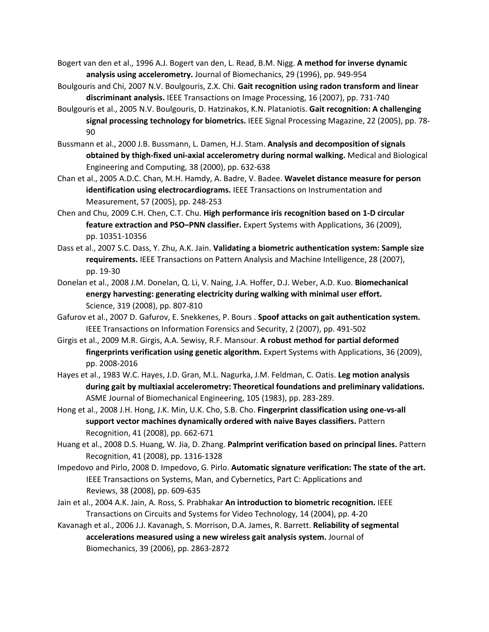Bogert van den et al., 1996 A.J. Bogert van den, L. Read, B.M. Nigg. **A method for inverse dynamic analysis using accelerometry.** Journal of Biomechanics, 29 (1996), pp. 949-954

- Boulgouris and Chi, 2007 N.V. Boulgouris, Z.X. Chi. **Gait recognition using radon transform and linear discriminant analysis.** IEEE Transactions on Image Processing, 16 (2007), pp. 731-740
- Boulgouris et al., 2005 N.V. Boulgouris, D. Hatzinakos, K.N. Plataniotis. **Gait recognition: A challenging signal processing technology for biometrics.** IEEE Signal Processing Magazine, 22 (2005), pp. 78- 90
- Bussmann et al., 2000 J.B. Bussmann, L. Damen, H.J. Stam. **Analysis and decomposition of signals**  Engineering and Computing, 38 (2000), pp. 632-638 **obtained by thigh-fixed uni-axial accelerometry during normal walking.** Medical and Biological
- Chan et al., 2005 A.D.C. Chan, M.H. Hamdy, A. Badre, V. Badee. **Wavelet distance measure for person**  Measurement, 57 (2005), pp. 248-253 **identification using electrocardiograms.** IEEE Transactions on Instrumentation and
- Chen and Chu, 2009 C.H. Chen, C.T. Chu. **High performance iris recognition based on 1-D circular feature extraction and PSO–PNN classifier.** Expert Systems with Applications, 36 (2009), pp. 10351-10356
- Dass et al., 2007 S.C. Dass, Y. Zhu, A.K. Jain. **Validating a biometric authentication system: Sample size requirements.** IEEE Transactions on Pattern Analysis and Machine Intelligence, 28 (2007), pp. 19-30
- Donelan et al., 2008 J.M. Donelan, Q. Li, V. Naing, J.A. Hoffer, D.J. Weber, A.D. Kuo. **Biomechanical**  Science, 319 (2008), pp. 807-810 **energy harvesting: generating electricity during walking with minimal user effort.**
- Gafurov et al., 2007 D. Gafurov, E. Snekkenes, P. Bours . **Spoof attacks on gait authentication system.**  IEEE Transactions on Information Forensics and Security, 2 (2007), pp. 491-502
- Girgis et al., 2009 M.R. Girgis, A.A. Sewisy, R.F. Mansour. **A robust method for partial deformed fingerprints verification using genetic algorithm.** Expert Systems with Applications, 36 (2009), pp. 2008-2016
- Hayes et al., 1983 W.C. Hayes, J.D. Gran, M.L. Nagurka, J.M. Feldman, C. Oatis. **Leg motion analysis**  ASME Journal of Biomechanical Engineering, 105 (1983), pp. 283-289. **during gait by multiaxial accelerometry: Theoretical foundations and preliminary validations.**
- Hong et al., 2008 J.H. Hong, J.K. Min, U.K. Cho, S.B. Cho. **Fingerprint classification using one-vs-all**  Recognition, 41 (2008), pp. 662-671 **support vector machines dynamically ordered with naive Bayes classifiers.** Pattern
- Huang et al., 2008 D.S. Huang, W. Jia, D. Zhang. **Palmprint verification based on principal lines.** Pattern Recognition, 41 (2008), pp. 1316-1328
- Impedovo and Pirlo, 2008 D. Impedovo, G. Pirlo. **Automatic signature verification: The state of the art.**  Reviews, 38 (2008), pp. 609-635 IEEE Transactions on Systems, Man, and Cybernetics, Part C: Applications and
- Jain et al., 2004 A.K. Jain, A. Ross, S. Prabhakar **An introduction to biometric recognition.** IEEE Transactions on Circuits and Systems for Video Technology, 14 (2004), pp. 4-20
- Kavanagh et al., 2006 J.J. Kavanagh, S. Morrison, D.A. James, R. Barrett. **Reliability of segmental**  Biomechanics, 39 (2006), pp. 2863-2872 **accelerations measured using a new wireless gait analysis system.** Journal of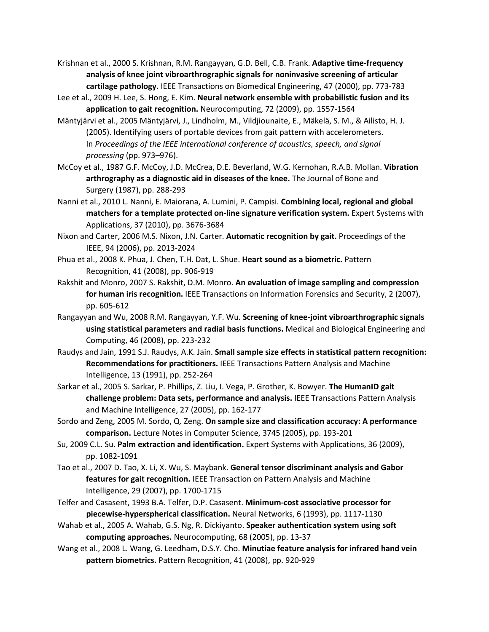- Krishnan et al., 2000 S. Krishnan, R.M. Rangayyan, G.D. Bell, C.B. Frank. **Adaptive time-frequency cartilage pathology.** IEEE Transactions on Biomedical Engineering, 47 (2000), pp. 773-783 **analysis of knee joint vibroarthrographic signals for noninvasive screening of articular**
- Lee et al., 2009 H. Lee, S. Hong, E. Kim. **Neural network ensemble with probabilistic fusion and its application to gait recognition.** Neurocomputing, 72 (2009), pp. 1557-1564
- (2005). Identifying users of portable devices from gait pattern with accelerometers. Mäntyjärvi et al., 2005 Mäntyjärvi, J., Lindholm, M., Vildjiounaite, E., Mäkelä, S. M., & Ailisto, H. J. In *Proceedings of the IEEE international conference of acoustics, speech, and signal processing* (pp. 973–976).
- McCoy et al., 1987 G.F. McCoy, J.D. McCrea, D.E. Beverland, W.G. Kernohan, R.A.B. Mollan. **Vibration**  Surgery (1987), pp. 288-293 **arthrography as a diagnostic aid in diseases of the knee.** The Journal of Bone and
- Nanni et al., 2010 L. Nanni, E. Maiorana, A. Lumini, P. Campisi. **Combining local, regional and global**  Applications, 37 (2010), pp. 3676-3684 **matchers for a template protected on-line signature verification system.** Expert Systems with
- Nixon and Carter, 2006 M.S. Nixon, J.N. Carter. **Automatic recognition by gait.** Proceedings of the IEEE, 94 (2006), pp. 2013-2024
- Phua et al., 2008 K. Phua, J. Chen, T.H. Dat, L. Shue. **Heart sound as a biometric.** Pattern Recognition, 41 (2008), pp. 906-919
- Rakshit and Monro, 2007 S. Rakshit, D.M. Monro. **An evaluation of image sampling and compression for human iris recognition.** IEEE Transactions on Information Forensics and Security, 2 (2007), pp. 605-612
- Rangayyan and Wu, 2008 R.M. Rangayyan, Y.F. Wu. **Screening of knee-joint vibroarthrographic signals**  Computing, 46 (2008), pp. 223-232 **using statistical parameters and radial basis functions.** Medical and Biological Engineering and
- Raudys and Jain, 1991 S.J. Raudys, A.K. Jain. **Small sample size effects in statistical pattern recognition: Recommendations for practitioners.** IEEE Transactions Pattern Analysis and Machine Intelligence, 13 (1991), pp. 252-264
- Sarkar et al., 2005 S. Sarkar, P. Phillips, Z. Liu, I. Vega, P. Grother, K. Bowyer. **The HumanID gait**  and Machine Intelligence, 27 (2005), pp. 162-177 **challenge problem: Data sets, performance and analysis.** IEEE Transactions Pattern Analysis
- Sordo and Zeng, 2005 M. Sordo, Q. Zeng. **On sample size and classification accuracy: A performance comparison.** Lecture Notes in Computer Science, 3745 (2005), pp. 193-201
- Su, 2009 C.L. Su. **Palm extraction and identification.** Expert Systems with Applications, 36 (2009), pp. 1082-1091
- Tao et al., 2007 D. Tao, X. Li, X. Wu, S. Maybank. **General tensor discriminant analysis and Gabor features for gait recognition.** IEEE Transaction on Pattern Analysis and Machine Intelligence, 29 (2007), pp. 1700-1715
- Telfer and Casasent, 1993 B.A. Telfer, D.P. Casasent. **Minimum-cost associative processor for piecewise-hyperspherical classification.** Neural Networks, 6 (1993), pp. 1117-1130
- Wahab et al., 2005 A. Wahab, G.S. Ng, R. Dickiyanto. **Speaker authentication system using soft computing approaches.** Neurocomputing, 68 (2005), pp. 13-37
- Wang et al., 2008 L. Wang, G. Leedham, D.S.Y. Cho. **Minutiae feature analysis for infrared hand vein pattern biometrics.** Pattern Recognition, 41 (2008), pp. 920-929